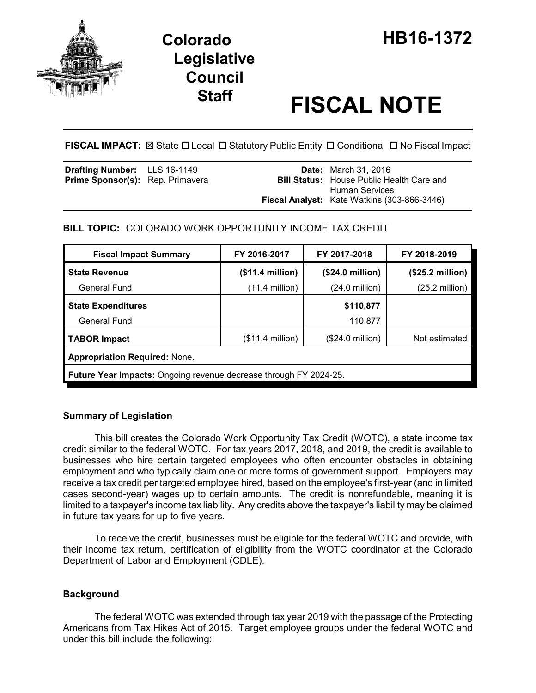

# **Staff FISCAL NOTE**

FISCAL IMPACT:  $\boxtimes$  State  $\Box$  Local  $\Box$  Statutory Public Entity  $\Box$  Conditional  $\Box$  No Fiscal Impact

| <b>Drafting Number:</b> LLS 16-1149<br>Prime Sponsor(s): Rep. Primavera |  | <b>Date:</b> March 31, 2016<br><b>Bill Status:</b> House Public Health Care and |
|-------------------------------------------------------------------------|--|---------------------------------------------------------------------------------|
|                                                                         |  | <b>Human Services</b><br><b>Fiscal Analyst:</b> Kate Watkins (303-866-3446)     |

# **BILL TOPIC:** COLORADO WORK OPPORTUNITY INCOME TAX CREDIT

| <b>Fiscal Impact Summary</b>                                             | FY 2016-2017              | FY 2017-2018              | FY 2018-2019              |  |
|--------------------------------------------------------------------------|---------------------------|---------------------------|---------------------------|--|
| <b>State Revenue</b>                                                     | (\$11.4 million)          | (\$24.0 million)          | $($25.2 \text{ million})$ |  |
| <b>General Fund</b>                                                      | $(11.4$ million)          | $(24.0 \text{ million})$  | $(25.2 \text{ million})$  |  |
| <b>State Expenditures</b>                                                |                           | \$110,877                 |                           |  |
| <b>General Fund</b>                                                      |                           | 110,877                   |                           |  |
| <b>TABOR Impact</b>                                                      | $($11.4 \text{ million})$ | $($24.0 \text{ million})$ | Not estimated             |  |
| <b>Appropriation Required: None.</b>                                     |                           |                           |                           |  |
| <b>Future Year Impacts:</b> Ongoing revenue decrease through FY 2024-25. |                           |                           |                           |  |

# **Summary of Legislation**

This bill creates the Colorado Work Opportunity Tax Credit (WOTC), a state income tax credit similar to the federal WOTC. For tax years 2017, 2018, and 2019, the credit is available to businesses who hire certain targeted employees who often encounter obstacles in obtaining employment and who typically claim one or more forms of government support. Employers may receive a tax credit per targeted employee hired, based on the employee's first-year (and in limited cases second-year) wages up to certain amounts. The credit is nonrefundable, meaning it is limited to a taxpayer's income tax liability. Any credits above the taxpayer's liability may be claimed in future tax years for up to five years.

To receive the credit, businesses must be eligible for the federal WOTC and provide, with their income tax return, certification of eligibility from the WOTC coordinator at the Colorado Department of Labor and Employment (CDLE).

# **Background**

The federal WOTC was extended through tax year 2019 with the passage of the Protecting Americans from Tax Hikes Act of 2015. Target employee groups under the federal WOTC and under this bill include the following: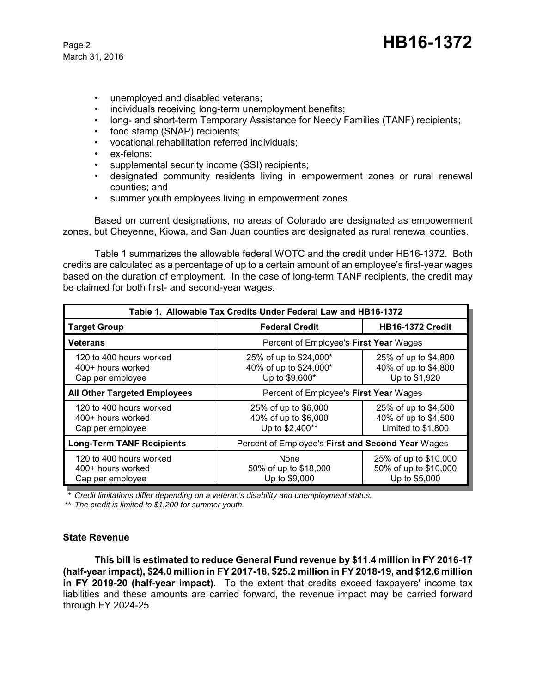- unemployed and disabled veterans;
- individuals receiving long-term unemployment benefits;
- long- and short-term Temporary Assistance for Needy Families (TANF) recipients;
- food stamp (SNAP) recipients;
- vocational rehabilitation referred individuals;
- ex-felons;
- supplemental security income (SSI) recipients;
- designated community residents living in empowerment zones or rural renewal counties; and
- summer youth employees living in empowerment zones.

Based on current designations, no areas of Colorado are designated as empowerment zones, but Cheyenne, Kiowa, and San Juan counties are designated as rural renewal counties.

Table 1 summarizes the allowable federal WOTC and the credit under HB16-1372. Both credits are calculated as a percentage of up to a certain amount of an employee's first-year wages based on the duration of employment. In the case of long-term TANF recipients, the credit may be claimed for both first- and second-year wages.

| Table 1. Allowable Tax Credits Under Federal Law and HB16-1372   |                                                                    |                                                                    |  |  |
|------------------------------------------------------------------|--------------------------------------------------------------------|--------------------------------------------------------------------|--|--|
| <b>Target Group</b>                                              | <b>Federal Credit</b>                                              | <b>HB16-1372 Credit</b>                                            |  |  |
| Veterans                                                         | Percent of Employee's First Year Wages                             |                                                                    |  |  |
| 120 to 400 hours worked<br>400+ hours worked<br>Cap per employee | 25% of up to \$24,000*<br>40% of up to \$24,000*<br>Up to \$9,600* | 25% of up to \$4,800<br>40% of up to \$4,800<br>Up to \$1,920      |  |  |
| <b>All Other Targeted Employees</b>                              | Percent of Employee's First Year Wages                             |                                                                    |  |  |
| 120 to 400 hours worked<br>400+ hours worked<br>Cap per employee | 25% of up to \$6,000<br>40% of up to \$6,000<br>Up to \$2,400**    | 25% of up to \$4,500<br>40% of up to \$4,500<br>Limited to \$1,800 |  |  |
| <b>Long-Term TANF Recipients</b>                                 | Percent of Employee's First and Second Year Wages                  |                                                                    |  |  |
| 120 to 400 hours worked<br>400+ hours worked<br>Cap per employee | None<br>50% of up to \$18,000<br>Up to \$9,000                     | 25% of up to \$10,000<br>50% of up to \$10,000<br>Up to \$5,000    |  |  |

*\* Credit limitations differ depending on a veteran's disability and unemployment status.*

*\*\* The credit is limited to \$1,200 for summer youth.*

#### **State Revenue**

**This bill is estimated to reduce General Fund revenue by \$11.4 million in FY 2016-17 (half-year impact), \$24.0 million in FY 2017-18, \$25.2 million in FY 2018-19, and \$12.6 million in FY 2019-20 (half-year impact).** To the extent that credits exceed taxpayers' income tax liabilities and these amounts are carried forward, the revenue impact may be carried forward through FY 2024-25.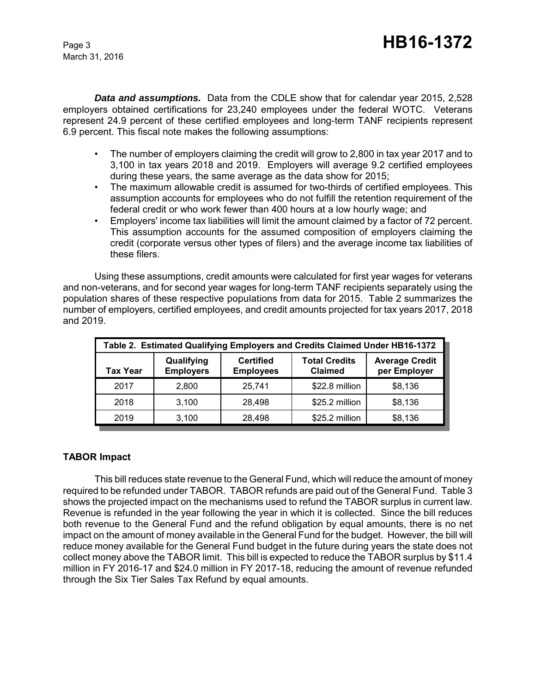*Data and assumptions.* Data from the CDLE show that for calendar year 2015, 2,528 employers obtained certifications for 23,240 employees under the federal WOTC. Veterans represent 24.9 percent of these certified employees and long-term TANF recipients represent 6.9 percent. This fiscal note makes the following assumptions:

- The number of employers claiming the credit will grow to 2,800 in tax year 2017 and to 3,100 in tax years 2018 and 2019. Employers will average 9.2 certified employees during these years, the same average as the data show for 2015;
- The maximum allowable credit is assumed for two-thirds of certified employees. This assumption accounts for employees who do not fulfill the retention requirement of the federal credit or who work fewer than 400 hours at a low hourly wage; and
- Employers' income tax liabilities will limit the amount claimed by a factor of 72 percent. This assumption accounts for the assumed composition of employers claiming the credit (corporate versus other types of filers) and the average income tax liabilities of these filers.

Using these assumptions, credit amounts were calculated for first year wages for veterans and non-veterans, and for second year wages for long-term TANF recipients separately using the population shares of these respective populations from data for 2015. Table 2 summarizes the number of employers, certified employees, and credit amounts projected for tax years 2017, 2018 and 2019.

| Table 2. Estimated Qualifying Employers and Credits Claimed Under HB16-1372 |                                |                                      |                                        |                                       |
|-----------------------------------------------------------------------------|--------------------------------|--------------------------------------|----------------------------------------|---------------------------------------|
| <b>Tax Year</b>                                                             | Qualifying<br><b>Employers</b> | <b>Certified</b><br><b>Employees</b> | <b>Total Credits</b><br><b>Claimed</b> | <b>Average Credit</b><br>per Employer |
| 2017                                                                        | 2.800                          | 25.741                               | \$22.8 million                         | \$8,136                               |
| 2018                                                                        | 3.100                          | 28.498                               | \$25.2 million                         | \$8,136                               |
| 2019                                                                        | 3,100                          | 28.498                               | \$25.2 million                         | \$8,136                               |

# **TABOR Impact**

This bill reduces state revenue to the General Fund, which will reduce the amount of money required to be refunded under TABOR. TABOR refunds are paid out of the General Fund. Table 3 shows the projected impact on the mechanisms used to refund the TABOR surplus in current law. Revenue is refunded in the year following the year in which it is collected. Since the bill reduces both revenue to the General Fund and the refund obligation by equal amounts, there is no net impact on the amount of money available in the General Fund for the budget. However, the bill will reduce money available for the General Fund budget in the future during years the state does not collect money above the TABOR limit. This bill is expected to reduce the TABOR surplus by \$11.4 million in FY 2016-17 and \$24.0 million in FY 2017-18, reducing the amount of revenue refunded through the Six Tier Sales Tax Refund by equal amounts.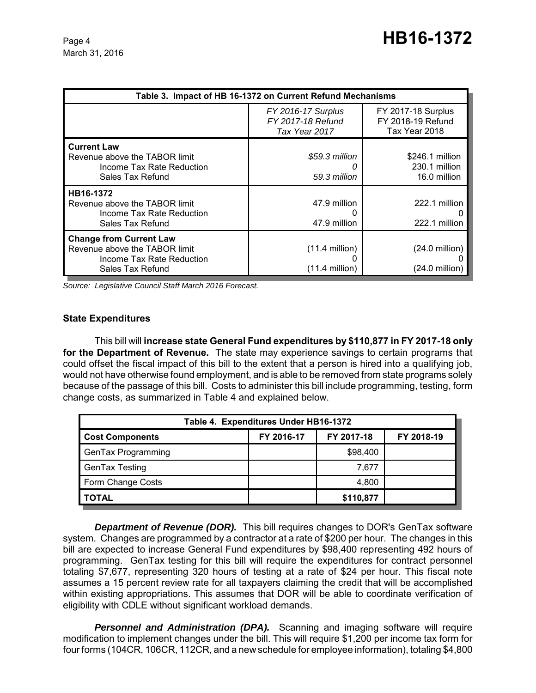| Table 3. Impact of HB 16-1372 on Current Refund Mechanisms                                                       |                                                          |                                                                 |  |  |
|------------------------------------------------------------------------------------------------------------------|----------------------------------------------------------|-----------------------------------------------------------------|--|--|
|                                                                                                                  | FY 2016-17 Surplus<br>FY 2017-18 Refund<br>Tax Year 2017 | <b>FY 2017-18 Surplus</b><br>FY 2018-19 Refund<br>Tax Year 2018 |  |  |
| <b>Current Law</b><br>Revenue above the TABOR limit<br>Income Tax Rate Reduction<br>Sales Tax Refund             | \$59.3 million<br>59.3 million                           | \$246.1 million<br>230.1 million<br>16.0 million                |  |  |
| HB16-1372<br>Revenue above the TABOR limit<br>Income Tax Rate Reduction<br>Sales Tax Refund                      | 47.9 million<br>47.9 million                             | 222.1 million<br>222.1 million                                  |  |  |
| <b>Change from Current Law</b><br>Revenue above the TABOR limit<br>Income Tax Rate Reduction<br>Sales Tax Refund | $(11.4$ million)<br>$(11.4 \text{ million})$             | $(24.0 \text{ million})$<br>(24.0 million)                      |  |  |

*Source: Legislative Council Staff March 2016 Forecast.*

#### **State Expenditures**

This bill will **increase state General Fund expenditures by \$110,877 in FY 2017-18 only for the Department of Revenue.** The state may experience savings to certain programs that could offset the fiscal impact of this bill to the extent that a person is hired into a qualifying job, would not have otherwise found employment, and is able to be removed from state programs solely because of the passage of this bill. Costs to administer this bill include programming, testing, form change costs, as summarized in Table 4 and explained below.

| Table 4. Expenditures Under HB16-1372 |            |            |            |  |
|---------------------------------------|------------|------------|------------|--|
| <b>Cost Components</b>                | FY 2016-17 | FY 2017-18 | FY 2018-19 |  |
| <b>GenTax Programming</b>             |            | \$98,400   |            |  |
| <b>GenTax Testing</b>                 |            | 7.677      |            |  |
| Form Change Costs                     |            | 4,800      |            |  |
| TOTAL                                 |            | \$110,877  |            |  |

**Department of Revenue (DOR).** This bill requires changes to DOR's GenTax software system. Changes are programmed by a contractor at a rate of \$200 per hour. The changes in this bill are expected to increase General Fund expenditures by \$98,400 representing 492 hours of programming. GenTax testing for this bill will require the expenditures for contract personnel totaling \$7,677, representing 320 hours of testing at a rate of \$24 per hour. This fiscal note assumes a 15 percent review rate for all taxpayers claiming the credit that will be accomplished within existing appropriations. This assumes that DOR will be able to coordinate verification of eligibility with CDLE without significant workload demands.

**Personnel and Administration (DPA).** Scanning and imaging software will require modification to implement changes under the bill. This will require \$1,200 per income tax form for four forms (104CR, 106CR, 112CR, and a new schedule for employee information), totaling \$4,800